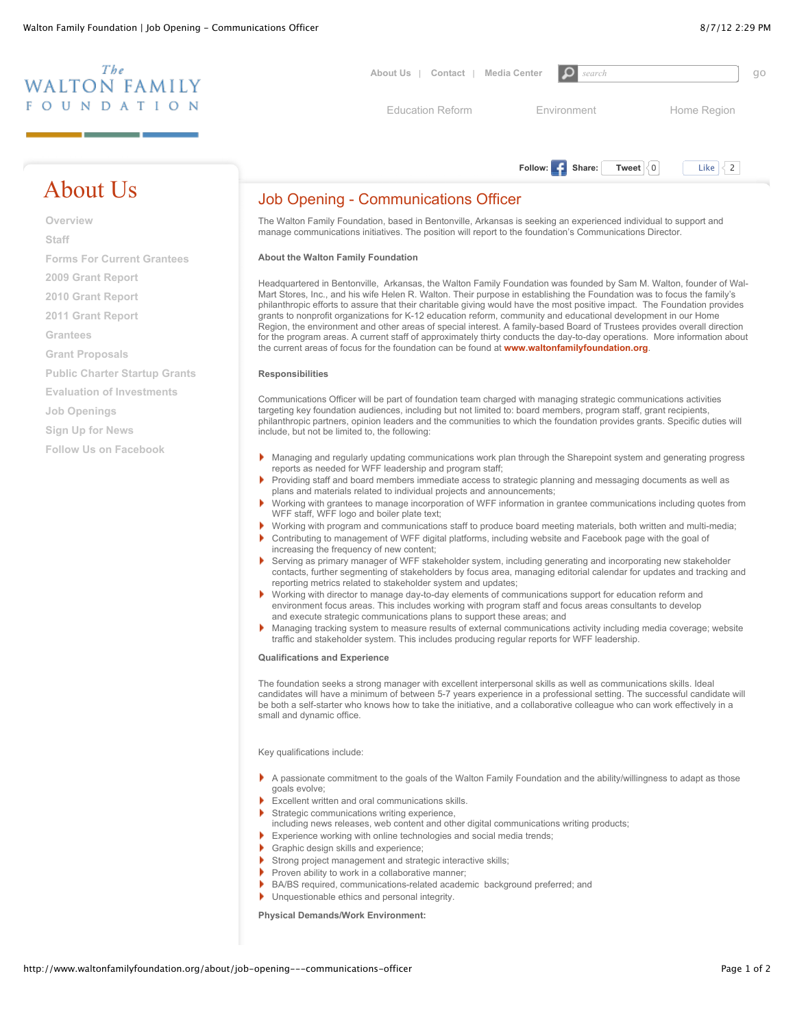

# About Us

**[Overview](http://www.waltonfamilyfoundation.org/about) [Staff](http://www.waltonfamilyfoundation.org/about/staff) [Forms For Current Grantees](http://www.waltonfamilyfoundation.org/grantees/forms-for-current-grantees) [2009 Grant Report](http://www.waltonfamilyfoundation.org/about/2009-grants) [2010 Grant Report](http://www.waltonfamilyfoundation.org/about/2010-grants-report) [2011 Grant Report](http://www.waltonfamilyfoundation.org/about/2011-grant-report) [Grantees](http://www.waltonfamilyfoundation.org/grantees) [Grant Proposals](http://www.waltonfamilyfoundation.org/grantees/seeking-a-grant) [Public Charter Startup Grants](http://www.waltonfamilyfoundation.org/grantees/public-charter-startup-grant-program) [Evaluation of Investments](http://www.waltonfamilyfoundation.org/about/evaluation-unit) [Job Openings](http://www.waltonfamilyfoundation.org/about/job-openings) [Sign Up for News](http://www.waltonfamilyfoundation.org/about/subscribe) [Follow Us on Facebook](http://www.waltonfamilyfoundation.org/about/follow-us-on-facebook)**

# Job Opening - Communications Officer

The Walton Family Foundation, based in Bentonville, Arkansas is seeking an experienced individual to support and manage communications initiatives. The position will report to the foundation's Communications Director.

## **About the Walton Family Foundation**

Headquartered in Bentonville, Arkansas, the Walton Family Foundation was founded by Sam M. Walton, founder of Wal-Mart Stores, Inc., and his wife Helen R. Walton. Their purpose in establishing the Foundation was to focus the family's philanthropic efforts to assure that their charitable giving would have the most positive impact. The Foundation provides grants to nonprofit organizations for K-12 education reform, community and educational development in our Home Region, the environment and other areas of special interest. A family-based Board of Trustees provides overall direction for the program areas. A current staff of approximately thirty conducts the day-to-day operations. More information about the current areas of focus for the foundation can be found at **[www.waltonfamilyfoundation.org](http://www.waltonfamilyfoundation.org/)**.

#### **Responsibilities**

Communications Officer will be part of foundation team charged with managing strategic communications activities targeting key foundation audiences, including but not limited to: board members, program staff, grant recipients, philanthropic partners, opinion leaders and the communities to which the foundation provides grants. Specific duties will include, but not be limited to, the following:

- Managing and regularly updating communications work plan through the Sharepoint system and generating progress reports as needed for WFF leadership and program staff;
- Providing staff and board members immediate access to strategic planning and messaging documents as well as plans and materials related to individual projects and announcements;
- Working with grantees to manage incorporation of WFF information in grantee communications including quotes from WFF staff, WFF logo and boiler plate text;
- Working with program and communications staff to produce board meeting materials, both written and multi-media;
- Contributing to management of WFF digital platforms, including website and Facebook page with the goal of increasing the frequency of new content;
- Serving as primary manager of WFF stakeholder system, including generating and incorporating new stakeholder contacts, further segmenting of stakeholders by focus area, managing editorial calendar for updates and tracking and reporting metrics related to stakeholder system and updates;
- Working with director to manage day-to-day elements of communications support for education reform and environment focus areas. This includes working with program staff and focus areas consultants to develop and execute strategic communications plans to support these areas; and
- Managing tracking system to measure results of external communications activity including media coverage; website traffic and stakeholder system. This includes producing regular reports for WFF leadership.

#### **Qualifications and Experience**

The foundation seeks a strong manager with excellent interpersonal skills as well as communications skills. Ideal candidates will have a minimum of between 5-7 years experience in a professional setting. The successful candidate will be both a self-starter who knows how to take the initiative, and a collaborative colleague who can work effectively in a small and dynamic office.

Key qualifications include:

- A passionate commitment to the goals of the Walton Family Foundation and the ability/willingness to adapt as those goals evolve;
- Excellent written and oral communications skills.
- Strategic communications writing experience,
- including news releases, web content and other digital communications writing products;
- Experience working with online technologies and social media trends;
- Graphic design skills and experience;
- Strong project management and strategic interactive skills;
- Proven ability to work in a collaborative manner;
- BA/BS required, communications-related academic background preferred; and
- Unquestionable ethics and personal integrity.

**Physical Demands/Work Environment:**